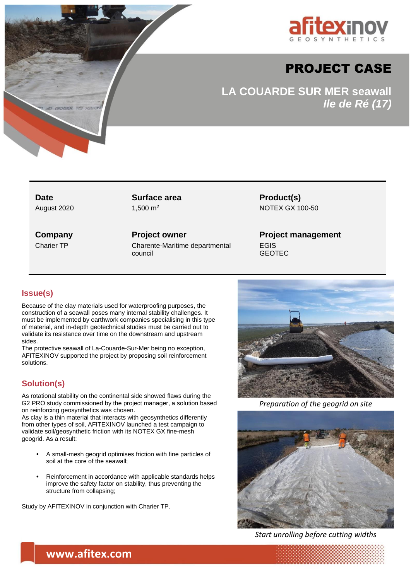

# PROJECT CASE

**LA COUARDE SUR MER seawall** *Ile de Ré (17)*

**Date Surface area Product(s)** 

August 2020 1.500 m<sup>2</sup> 1.500 m<sup>2</sup> NOTEX GX 100-50

**Company Project owner Project management** Charier TP Charente-Maritime departmental council

EGIS GEOTEC

# **Issue(s)**

Because of the clay materials used for waterproofing purposes, the construction of a seawall poses many internal stability challenges. It must be implemented by earthwork companies specialising in this type of material, and in-depth geotechnical studies must be carried out to validate its resistance over time on the downstream and upstream sides.

The protective seawall of La-Couarde-Sur-Mer being no exception, AFITEXINOV supported the project by proposing soil reinforcement solutions.

# **Solution(s)**

As rotational stability on the continental side showed flaws during the G2 PRO study commissioned by the project manager, a solution based on reinforcing geosynthetics was chosen.

As clay is a thin material that interacts with geosynthetics differently from other types of soil, AFITEXINOV launched a test campaign to validate soil/geosynthetic friction with its NOTEX GX fine-mesh geogrid. As a result:

- **•** A small-mesh geogrid optimises friction with fine particles of soil at the core of the seawall;
- **•** Reinforcement in accordance with applicable standards helps improve the safety factor on stability, thus preventing the structure from collapsing;

Study by AFITEXINOV in conjunction with Charier TP.



*Preparation of the geogrid on site*



*Start unrolling before cutting widths*

**www.afitex.com**